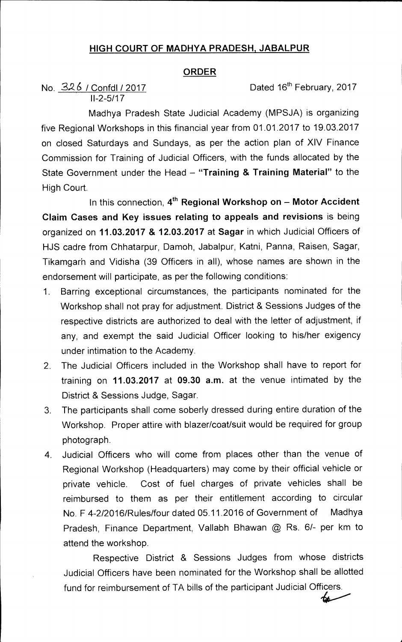## **HIGH COURT OF MADHYA PRADESH, JABALPUR**

## **ORDER**

No. 326 / Confdl / 2017 **Dated 16<sup>th</sup> February, 2017** 11-2-5/17

Madhya Pradesh State Judicial Academy (MPSJA) is organizing five Regional Workshops in this financial year from 01.01.2017 to 19.03.2017 on closed Saturdays and Sundays, as per the action plan of XIV Finance Commission for Training of Judicial Officers, with the funds allocated by the State Government under the Head — **"Training & Training Material"** to the High Court.

In this connection, 4th **Regional Workshop on — Motor Accident Claim Cases and Key issues relating to appeals and revisions** is being organized on **11.03.2017 & 12.03.2017** at **Sagar** in which Judicial Officers of HJS cadre from Chhatarpur, Damoh, Jabalpur, Katni, Panna, Raisen, Sagar, Tikamgarh and Vidisha (39 Officers in all), whose names are shown in the endorsement will participate, as per the following conditions:

- 1. Barring exceptional circumstances, the participants nominated for the Workshop shall not pray for adjustment. District & Sessions Judges of the respective districts are authorized to deal with the letter of adjustment, if any, and exempt the said Judicial Officer looking to his/her exigency under intimation to the Academy.
- 2. The Judicial Officers included in the Workshop shall have to report for training on **11.03.2017** at **09.30 a.m.** at the venue intimated by the District & Sessions Judge, Sagar.
- 3. The participants shall come soberly dressed during entire duration of the Workshop. Proper attire with blazer/coat/suit would be required for group photograph.
- 4. Judicial Officers who will come from places other than the venue of Regional Workshop (Headquarters) may come by their official vehicle or private vehicle. Cost of fuel charges of private vehicles shall be reimbursed to them as per their entitlement according to circular No. F 4-2/2016/Rules/four dated 05.11.2016 of Government of Madhya Pradesh, Finance Department, Vallabh Bhawan @ Rs. 6/- per km to attend the workshop.

Respective District & Sessions Judges from whose districts Judicial Officers have been nominated for the Workshop shall be allotted fund for reimbursement of TA bills of the participant Judicial Officers.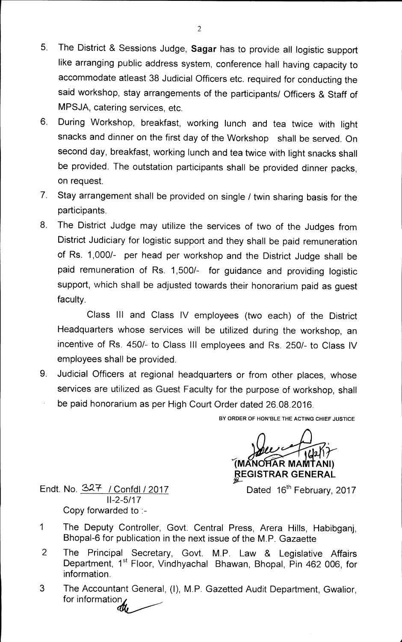- 5. The District & Sessions Judge, **Sagar** has to provide all logistic support like arranging public address system, conference hall having capacity to accommodate atleast 38 Judicial Officers etc. required for conducting the said workshop, stay arrangements of the participants/ Officers & Staff of MPSJA, catering services, etc.
- 6. During Workshop, breakfast, working lunch and tea twice with light snacks and dinner on the first day of the Workshop shall be served. On second day, breakfast, working lunch and tea twice with light snacks shall be provided. The outstation participants shall be provided dinner packs, on request.
- 7. Stay arrangement shall be provided on single / twin sharing basis for the participants.
- 8. The District Judge may utilize the services of two of the Judges from District Judiciary for logistic support and they shall be paid remuneration of Rs. 1,000/- per head per workshop and the District Judge shall be paid remuneration of Rs. 1,500/- for guidance and providing logistic support, which shall be adjusted towards their honorarium paid as guest faculty.

Class III and Class IV employees (two each) of the District Headquarters whose services will be utilized during the workshop, an incentive of Rs. 450/- to Class III employees and Rs. 250/- to Class IV employees shall be provided.

- 9. Judicial Officers at regional headquarters or from other places, whose services are utilized as Guest Faculty for the purpose of workshop, shall
- be paid honorarium as per High Court Order dated 26.08.2016.

**BY ORDER OF HON'BLE THE ACTING CHIEF JUSTICE** 

**(MANO'FfR MAM ANI) REGISTRAR GENERAL** 

Endt. No.  $327 / \text{Confd}/2017$  Dated 16<sup>th</sup> February, 2017 11-2-5/17 Copy forwarded to :-

- 
- 1 The Deputy Controller, Govt. Central Press, Arera Hills, Habibganj, Bhopal-6 for publication in the next issue of the M.P. Gazaette
- 2 The Principal Secretary, Govt. M.P. Law & Legislative Affairs Department, 1<sup>st</sup> Floor, Vindhyachal Bhawan, Bhopal, Pin 462 006, for information.
- 3 The Accountant General, (1), M.P. Gazetted Audit Department, Gwalior, for information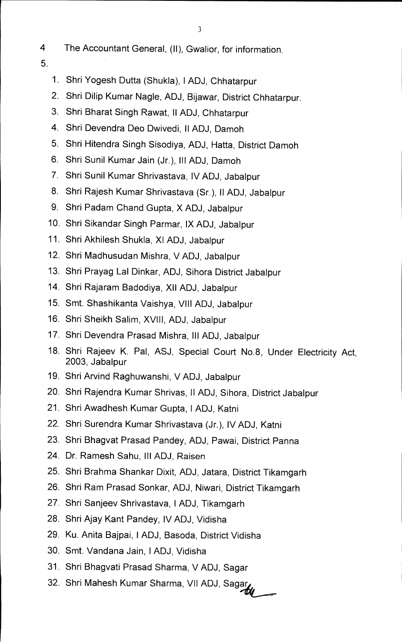3

- **4 The Accountant General, (II), Gwalior, for information.**
- **5.**
- **1. Shri Yogesh Dutta (Shukla), I ADJ, Chhatarpur**
- **2. Shri Dilip Kumar Nagle, ADJ, Bijawar, District Chhatarpur.**
- **3. Shri Bharat Singh Rawat, II ADJ, Chhatarpur**
- **4. Shri Devendra Deo Dwivedi, II ADJ, Damoh**
- **5. Shri Hitendra Singh Sisodiya, ADJ, Hatta, District Damoh**
- **6. Shri Sunil Kumar Jain (Jr.), Ill ADJ, Damoh**
- **7. Shri Sunil Kumar Shrivastava, IV ADJ, Jabalpur**
- **8. Shri Rajesh Kumar Shrivastava (Sr.), ll ADJ, Jabalpur**
- **9. Shri Padam Chand Gupta, X ADJ, Jabalpur**
- **10. Shri Sikandar Singh Parmar, IX ADJ, Jabalpur**
- **11. Shri Akhilesh Shukla, XI ADJ, Jabalpur**
- **12. Shri Madhusudan Mishra, V ADJ, Jabalpur**
- **13. Shri Prayag Lal Dinkar, ADJ, Sihora District Jabalpur**
- **14. Shri Rajaram Badodiya, XII ADJ, Jabalpur**
- **15. Smt. Shashikanta Vaishya, VIII ADJ, Jabalpur**
- **16. Shri Sheikh Salim, XVIII, ADJ, Jabalpur**
- **17. Shri Devendra Prasad Mishra, III ADJ, Jabalpur**
- **18. Shri Rajeev K. Pal, ASJ, Special Court No.8, Under Electricity Act, 2003, Jabalpur**
- **19. Shri Arvind Raghuwanshi, V ADJ, Jabalpur**
- **20. Shri Rajendra Kumar Shrivas, II ADJ, Sihora, District Jabalpur**
- **21. Shri Awadhesh Kumar Gupta, I ADJ, Katni**
- **22. Shri Surendra Kumar Shrivastava (Jr.), IV ADJ, Katni**
- **23. Shri Bhagvat Prasad Pandey, ADJ, Pawai, District Panna**
- **24. Dr. Ramesh Sahu, III ADJ, Raisen**
- **25. Shri Brahma Shankar Dixit, ADJ, Jatara, District Tikamgarh**
- **26. Shri Ram Prasad Sonkar, ADJ, Niwari, District Tikamgarh**
- **27. Shri Sanjeev Shrivastava, I ADJ, Tikamgarh**
- **28. Shri Ajay Kant Pandey, IV ADJ, Vidisha**
- **29. Ku. Anita Bajpai, I ADJ, Basoda, District Vidisha**
- **30. Smt. Vandana Jain, I ADJ, Vidisha**
- **31. Shri Bhagvati Prasad Sharma, V ADJ, Sagar**
- **32. Shri Mahesh Kumar Sharma, VII ADJ, Sagar**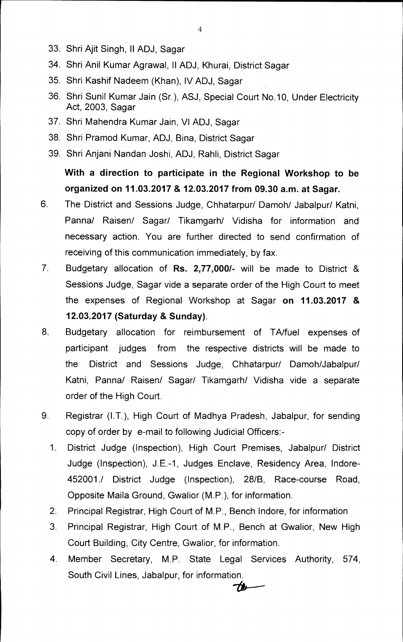- **33. Shri Ajit Singh, II ADJ, Sagar**
- **34. Shri Anil Kumar Agrawal, II ADJ, Khurai, District Sagar**
- **35. Shri Kashif Nadeem (Khan), IV ADJ, Sagar**
- **36. Shri Sunil Kumar Jain (Sr.), ASJ, Special Court No.10, Under Electricity Act, 2003, Sagar**
- **37. Shri Mahendra Kumar Jain, VI ADJ, Sagar**
- **38. Shri Pramod Kumar, ADJ, Bina, District Sagar**
- **39. Shri Anjani Nandan Joshi, ADJ, Rahli, District Sagar**

## **With a direction to participate in the Regional Workshop to be organized on 11.03.2017 & 12.03.2017 from 09.30 a.m. at Sagar.**

- **6 The District and Sessions Judge, Chhatarpur/ Damoh/ Jabalpur/ Katni, Panna/ Raisen/ Sagar/ Tikamgarh/ Vidisha for information and necessary action. You are further directed to send confirmation of receiving of this communication immediately, by fax.**
- **7 Budgetary allocation of Rs. 2,77,000/- will be made to District & Sessions Judge, Sagar vide a separate order of the High Court to meet the expenses of Regional Workshop at Sagar on 11.03.2017 & 12.03.2017 (Saturday & Sunday).**
- **8 Budgetary allocation for reimbursement of TA/fuel expenses of participant judges from the respective districts will be made to the District and Sessions Judge, Chhatarpur/ Damoh/Jabalpur/ Katni, Panna/ Raisen/ Sagar/ Tikamgarh/ Vidisha vide a separate order of the High Court.**
- **9. Registrar (I.T.), High Court of Madhya Pradesh, Jabalpur, for sending copy of order by e-mail to following Judicial Officers:-** 
	- **1 District Judge (Inspection), High Court Premises, Jabalpur/ District Judge (Inspection), J.E.-1, Judges Enclave, Residency Area, Indore-452001./ District Judge (Inspection), 28/B, Race-course Road, Opposite Maila Ground, Gwalior (M.P.), for information.**
	- **2. Principal Registrar, High Court of M.P., Bench lndore, for information**
	- **3. Principal Registrar, High Court of M.P., Bench at Gwalior, New High Court Building, City Centre, Gwalior, for information.**
	- **4. Member Secretary, M.P. State Legal Services Authority, 574, South Civil Lines, Jabalpur, for information.**